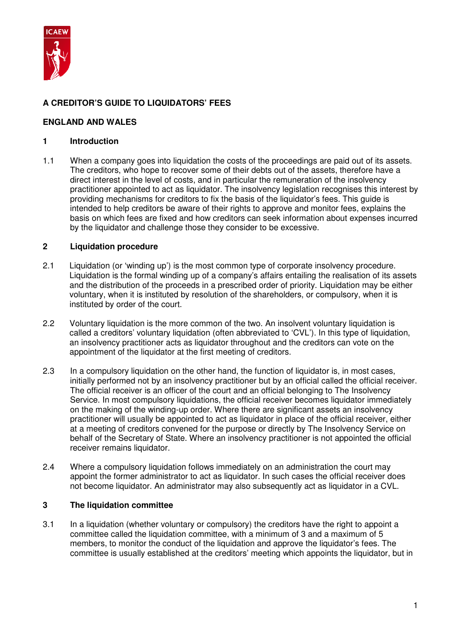

# **A CREDITOR'S GUIDE TO LIQUIDATORS' FEES**

## **ENGLAND AND WALES**

## **1 Introduction**

1.1 When a company goes into liquidation the costs of the proceedings are paid out of its assets. The creditors, who hope to recover some of their debts out of the assets, therefore have a direct interest in the level of costs, and in particular the remuneration of the insolvency practitioner appointed to act as liquidator. The insolvency legislation recognises this interest by providing mechanisms for creditors to fix the basis of the liquidator's fees. This guide is intended to help creditors be aware of their rights to approve and monitor fees, explains the basis on which fees are fixed and how creditors can seek information about expenses incurred by the liquidator and challenge those they consider to be excessive.

## **2 Liquidation procedure**

- 2.1 Liquidation (or 'winding up') is the most common type of corporate insolvency procedure. Liquidation is the formal winding up of a company's affairs entailing the realisation of its assets and the distribution of the proceeds in a prescribed order of priority. Liquidation may be either voluntary, when it is instituted by resolution of the shareholders, or compulsory, when it is instituted by order of the court.
- 2.2 Voluntary liquidation is the more common of the two. An insolvent voluntary liquidation is called a creditors' voluntary liquidation (often abbreviated to 'CVL'). In this type of liquidation, an insolvency practitioner acts as liquidator throughout and the creditors can vote on the appointment of the liquidator at the first meeting of creditors.
- 2.3 In a compulsory liquidation on the other hand, the function of liquidator is, in most cases, initially performed not by an insolvency practitioner but by an official called the official receiver. The official receiver is an officer of the court and an official belonging to The Insolvency Service. In most compulsory liquidations, the official receiver becomes liquidator immediately on the making of the winding-up order. Where there are significant assets an insolvency practitioner will usually be appointed to act as liquidator in place of the official receiver, either at a meeting of creditors convened for the purpose or directly by The Insolvency Service on behalf of the Secretary of State. Where an insolvency practitioner is not appointed the official receiver remains liquidator.
- 2.4 Where a compulsory liquidation follows immediately on an administration the court may appoint the former administrator to act as liquidator. In such cases the official receiver does not become liquidator. An administrator may also subsequently act as liquidator in a CVL.

## **3 The liquidation committee**

3.1 In a liquidation (whether voluntary or compulsory) the creditors have the right to appoint a committee called the liquidation committee, with a minimum of 3 and a maximum of 5 members, to monitor the conduct of the liquidation and approve the liquidator's fees. The committee is usually established at the creditors' meeting which appoints the liquidator, but in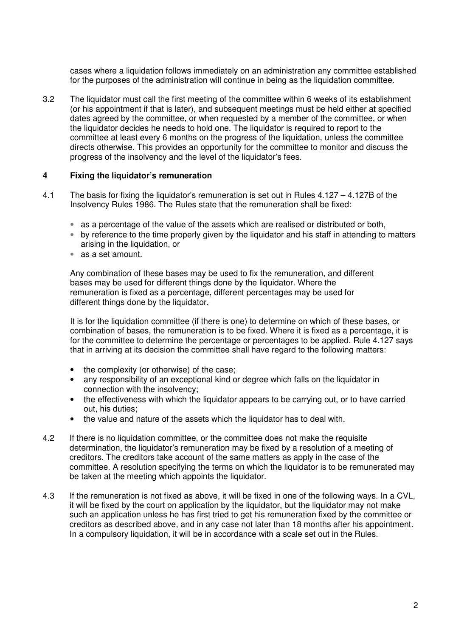cases where a liquidation follows immediately on an administration any committee established for the purposes of the administration will continue in being as the liquidation committee.

3.2 The liquidator must call the first meeting of the committee within 6 weeks of its establishment (or his appointment if that is later), and subsequent meetings must be held either at specified dates agreed by the committee, or when requested by a member of the committee, or when the liquidator decides he needs to hold one. The liquidator is required to report to the committee at least every 6 months on the progress of the liquidation, unless the committee directs otherwise. This provides an opportunity for the committee to monitor and discuss the progress of the insolvency and the level of the liquidator's fees.

### **4 Fixing the liquidator's remuneration**

- 4.1 The basis for fixing the liquidator's remuneration is set out in Rules 4.127 4.127B of the Insolvency Rules 1986. The Rules state that the remuneration shall be fixed:
	- as a percentage of the value of the assets which are realised or distributed or both,
	- by reference to the time properly given by the liquidator and his staff in attending to matters arising in the liquidation, or
	- as a set amount.

Any combination of these bases may be used to fix the remuneration, and different bases may be used for different things done by the liquidator. Where the remuneration is fixed as a percentage, different percentages may be used for different things done by the liquidator.

It is for the liquidation committee (if there is one) to determine on which of these bases, or combination of bases, the remuneration is to be fixed. Where it is fixed as a percentage, it is for the committee to determine the percentage or percentages to be applied. Rule 4.127 says that in arriving at its decision the committee shall have regard to the following matters:

- the complexity (or otherwise) of the case;
- any responsibility of an exceptional kind or degree which falls on the liquidator in connection with the insolvency;
- the effectiveness with which the liquidator appears to be carrying out, or to have carried out, his duties;
- the value and nature of the assets which the liquidator has to deal with.
- 4.2 If there is no liquidation committee, or the committee does not make the requisite determination, the liquidator's remuneration may be fixed by a resolution of a meeting of creditors. The creditors take account of the same matters as apply in the case of the committee. A resolution specifying the terms on which the liquidator is to be remunerated may be taken at the meeting which appoints the liquidator.
- 4.3 If the remuneration is not fixed as above, it will be fixed in one of the following ways. In a CVL, it will be fixed by the court on application by the liquidator, but the liquidator may not make such an application unless he has first tried to get his remuneration fixed by the committee or creditors as described above, and in any case not later than 18 months after his appointment. In a compulsory liquidation, it will be in accordance with a scale set out in the Rules.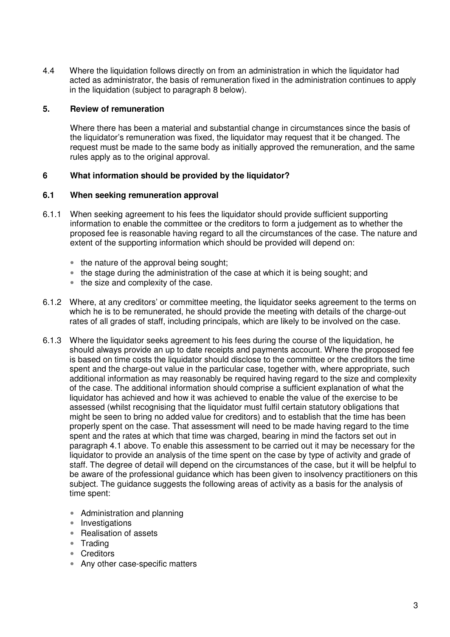4.4 Where the liquidation follows directly on from an administration in which the liquidator had acted as administrator, the basis of remuneration fixed in the administration continues to apply in the liquidation (subject to paragraph 8 below).

### **5. Review of remuneration**

Where there has been a material and substantial change in circumstances since the basis of the liquidator's remuneration was fixed, the liquidator may request that it be changed. The request must be made to the same body as initially approved the remuneration, and the same rules apply as to the original approval.

## **6 What information should be provided by the liquidator?**

### **6.1 When seeking remuneration approval**

- 6.1.1 When seeking agreement to his fees the liquidator should provide sufficient supporting information to enable the committee or the creditors to form a judgement as to whether the proposed fee is reasonable having regard to all the circumstances of the case. The nature and extent of the supporting information which should be provided will depend on:
	- the nature of the approval being sought;
	- the stage during the administration of the case at which it is being sought; and
	- the size and complexity of the case.
- 6.1.2 Where, at any creditors' or committee meeting, the liquidator seeks agreement to the terms on which he is to be remunerated, he should provide the meeting with details of the charge-out rates of all grades of staff, including principals, which are likely to be involved on the case.
- 6.1.3 Where the liquidator seeks agreement to his fees during the course of the liquidation, he should always provide an up to date receipts and payments account. Where the proposed fee is based on time costs the liquidator should disclose to the committee or the creditors the time spent and the charge-out value in the particular case, together with, where appropriate, such additional information as may reasonably be required having regard to the size and complexity of the case. The additional information should comprise a sufficient explanation of what the liquidator has achieved and how it was achieved to enable the value of the exercise to be assessed (whilst recognising that the liquidator must fulfil certain statutory obligations that might be seen to bring no added value for creditors) and to establish that the time has been properly spent on the case. That assessment will need to be made having regard to the time spent and the rates at which that time was charged, bearing in mind the factors set out in paragraph 4.1 above. To enable this assessment to be carried out it may be necessary for the liquidator to provide an analysis of the time spent on the case by type of activity and grade of staff. The degree of detail will depend on the circumstances of the case, but it will be helpful to be aware of the professional guidance which has been given to insolvency practitioners on this subject. The guidance suggests the following areas of activity as a basis for the analysis of time spent:
	- Administration and planning
	- Investigations
	- Realisation of assets
	- Trading
	- Creditors
	- Any other case-specific matters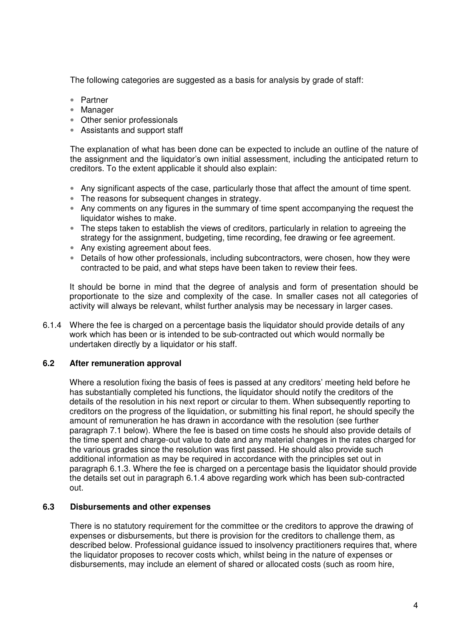The following categories are suggested as a basis for analysis by grade of staff:

- Partner
- Manager
- Other senior professionals
- Assistants and support staff

The explanation of what has been done can be expected to include an outline of the nature of the assignment and the liquidator's own initial assessment, including the anticipated return to creditors. To the extent applicable it should also explain:

- Any significant aspects of the case, particularly those that affect the amount of time spent.
- The reasons for subsequent changes in strategy.
- Any comments on any figures in the summary of time spent accompanying the request the liquidator wishes to make.
- The steps taken to establish the views of creditors, particularly in relation to agreeing the strategy for the assignment, budgeting, time recording, fee drawing or fee agreement.
- Any existing agreement about fees.
- Details of how other professionals, including subcontractors, were chosen, how they were contracted to be paid, and what steps have been taken to review their fees.

It should be borne in mind that the degree of analysis and form of presentation should be proportionate to the size and complexity of the case. In smaller cases not all categories of activity will always be relevant, whilst further analysis may be necessary in larger cases.

6.1.4 Where the fee is charged on a percentage basis the liquidator should provide details of any work which has been or is intended to be sub-contracted out which would normally be undertaken directly by a liquidator or his staff.

## **6.2 After remuneration approval**

 Where a resolution fixing the basis of fees is passed at any creditors' meeting held before he has substantially completed his functions, the liquidator should notify the creditors of the details of the resolution in his next report or circular to them. When subsequently reporting to creditors on the progress of the liquidation, or submitting his final report, he should specify the amount of remuneration he has drawn in accordance with the resolution (see further paragraph 7.1 below). Where the fee is based on time costs he should also provide details of the time spent and charge-out value to date and any material changes in the rates charged for the various grades since the resolution was first passed. He should also provide such additional information as may be required in accordance with the principles set out in paragraph 6.1.3. Where the fee is charged on a percentage basis the liquidator should provide the details set out in paragraph 6.1.4 above regarding work which has been sub-contracted out.

### **6.3 Disbursements and other expenses**

There is no statutory requirement for the committee or the creditors to approve the drawing of expenses or disbursements, but there is provision for the creditors to challenge them, as described below. Professional guidance issued to insolvency practitioners requires that, where the liquidator proposes to recover costs which, whilst being in the nature of expenses or disbursements, may include an element of shared or allocated costs (such as room hire,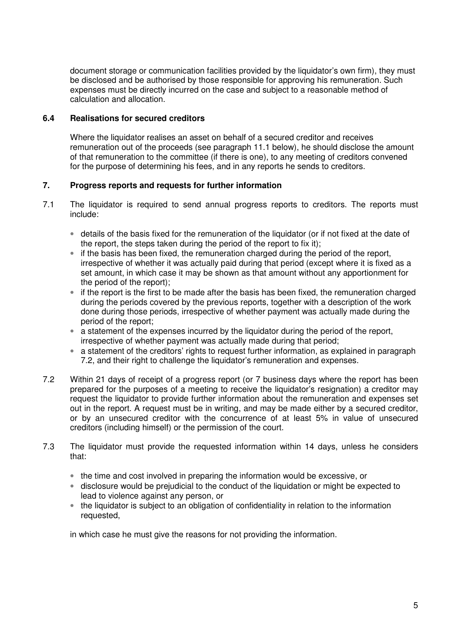document storage or communication facilities provided by the liquidator's own firm), they must be disclosed and be authorised by those responsible for approving his remuneration. Such expenses must be directly incurred on the case and subject to a reasonable method of calculation and allocation.

## **6.4 Realisations for secured creditors**

Where the liquidator realises an asset on behalf of a secured creditor and receives remuneration out of the proceeds (see paragraph 11.1 below), he should disclose the amount of that remuneration to the committee (if there is one), to any meeting of creditors convened for the purpose of determining his fees, and in any reports he sends to creditors.

## **7. Progress reports and requests for further information**

- 7.1 The liquidator is required to send annual progress reports to creditors. The reports must include:
	- details of the basis fixed for the remuneration of the liquidator (or if not fixed at the date of the report, the steps taken during the period of the report to fix it);
	- if the basis has been fixed, the remuneration charged during the period of the report, irrespective of whether it was actually paid during that period (except where it is fixed as a set amount, in which case it may be shown as that amount without any apportionment for the period of the report);
	- if the report is the first to be made after the basis has been fixed, the remuneration charged during the periods covered by the previous reports, together with a description of the work done during those periods, irrespective of whether payment was actually made during the period of the report;
	- a statement of the expenses incurred by the liquidator during the period of the report, irrespective of whether payment was actually made during that period;
	- a statement of the creditors' rights to request further information, as explained in paragraph 7.2, and their right to challenge the liquidator's remuneration and expenses.
- 7.2 Within 21 days of receipt of a progress report (or 7 business days where the report has been prepared for the purposes of a meeting to receive the liquidator's resignation) a creditor may request the liquidator to provide further information about the remuneration and expenses set out in the report. A request must be in writing, and may be made either by a secured creditor, or by an unsecured creditor with the concurrence of at least 5% in value of unsecured creditors (including himself) or the permission of the court.
- 7.3 The liquidator must provide the requested information within 14 days, unless he considers that:
	- the time and cost involved in preparing the information would be excessive, or
	- disclosure would be prejudicial to the conduct of the liquidation or might be expected to lead to violence against any person, or
	- the liquidator is subject to an obligation of confidentiality in relation to the information requested,

in which case he must give the reasons for not providing the information.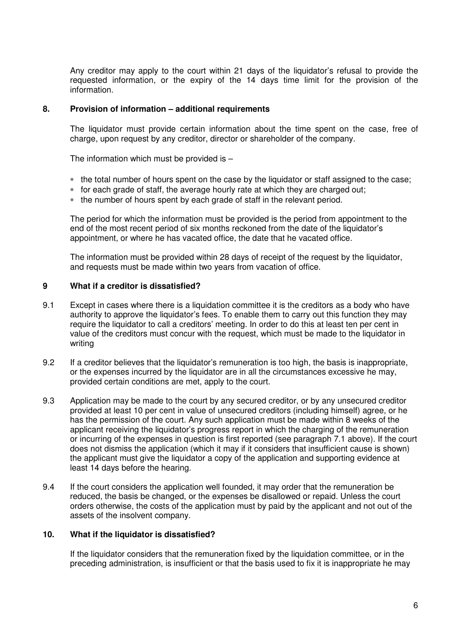Any creditor may apply to the court within 21 days of the liquidator's refusal to provide the requested information, or the expiry of the 14 days time limit for the provision of the information.

#### **8. Provision of information – additional requirements**

The liquidator must provide certain information about the time spent on the case, free of charge, upon request by any creditor, director or shareholder of the company.

The information which must be provided is –

- the total number of hours spent on the case by the liquidator or staff assigned to the case;
- for each grade of staff, the average hourly rate at which they are charged out;
- the number of hours spent by each grade of staff in the relevant period.

The period for which the information must be provided is the period from appointment to the end of the most recent period of six months reckoned from the date of the liquidator's appointment, or where he has vacated office, the date that he vacated office.

The information must be provided within 28 days of receipt of the request by the liquidator, and requests must be made within two years from vacation of office.

#### **9 What if a creditor is dissatisfied?**

- 9.1 Except in cases where there is a liquidation committee it is the creditors as a body who have authority to approve the liquidator's fees. To enable them to carry out this function they may require the liquidator to call a creditors' meeting. In order to do this at least ten per cent in value of the creditors must concur with the request, which must be made to the liquidator in writing
- 9.2 If a creditor believes that the liquidator's remuneration is too high, the basis is inappropriate, or the expenses incurred by the liquidator are in all the circumstances excessive he may, provided certain conditions are met, apply to the court.
- 9.3 Application may be made to the court by any secured creditor, or by any unsecured creditor provided at least 10 per cent in value of unsecured creditors (including himself) agree, or he has the permission of the court. Any such application must be made within 8 weeks of the applicant receiving the liquidator's progress report in which the charging of the remuneration or incurring of the expenses in question is first reported (see paragraph 7.1 above). If the court does not dismiss the application (which it may if it considers that insufficient cause is shown) the applicant must give the liquidator a copy of the application and supporting evidence at least 14 days before the hearing.
- 9.4 If the court considers the application well founded, it may order that the remuneration be reduced, the basis be changed, or the expenses be disallowed or repaid. Unless the court orders otherwise, the costs of the application must by paid by the applicant and not out of the assets of the insolvent company.

#### **10. What if the liquidator is dissatisfied?**

 If the liquidator considers that the remuneration fixed by the liquidation committee, or in the preceding administration, is insufficient or that the basis used to fix it is inappropriate he may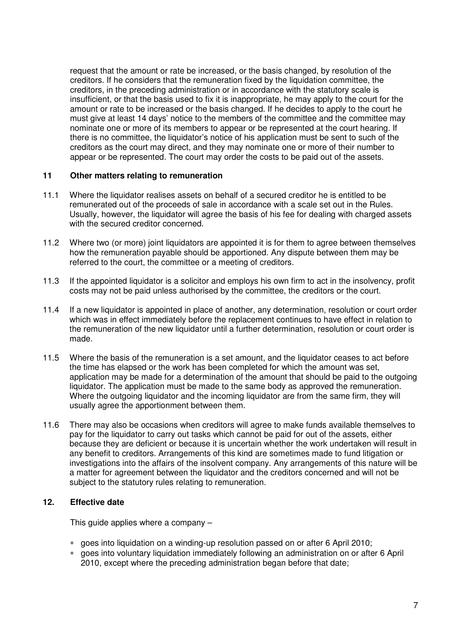request that the amount or rate be increased, or the basis changed, by resolution of the creditors. If he considers that the remuneration fixed by the liquidation committee, the creditors, in the preceding administration or in accordance with the statutory scale is insufficient, or that the basis used to fix it is inappropriate, he may apply to the court for the amount or rate to be increased or the basis changed. If he decides to apply to the court he must give at least 14 days' notice to the members of the committee and the committee may nominate one or more of its members to appear or be represented at the court hearing. If there is no committee, the liquidator's notice of his application must be sent to such of the creditors as the court may direct, and they may nominate one or more of their number to appear or be represented. The court may order the costs to be paid out of the assets.

#### **11 Other matters relating to remuneration**

- 11.1 Where the liquidator realises assets on behalf of a secured creditor he is entitled to be remunerated out of the proceeds of sale in accordance with a scale set out in the Rules. Usually, however, the liquidator will agree the basis of his fee for dealing with charged assets with the secured creditor concerned.
- 11.2 Where two (or more) joint liquidators are appointed it is for them to agree between themselves how the remuneration payable should be apportioned. Any dispute between them may be referred to the court, the committee or a meeting of creditors.
- 11.3 If the appointed liquidator is a solicitor and employs his own firm to act in the insolvency, profit costs may not be paid unless authorised by the committee, the creditors or the court.
- 11.4 If a new liquidator is appointed in place of another, any determination, resolution or court order which was in effect immediately before the replacement continues to have effect in relation to the remuneration of the new liquidator until a further determination, resolution or court order is made.
- 11.5 Where the basis of the remuneration is a set amount, and the liquidator ceases to act before the time has elapsed or the work has been completed for which the amount was set, application may be made for a determination of the amount that should be paid to the outgoing liquidator. The application must be made to the same body as approved the remuneration. Where the outgoing liquidator and the incoming liquidator are from the same firm, they will usually agree the apportionment between them.
- 11.6 There may also be occasions when creditors will agree to make funds available themselves to pay for the liquidator to carry out tasks which cannot be paid for out of the assets, either because they are deficient or because it is uncertain whether the work undertaken will result in any benefit to creditors. Arrangements of this kind are sometimes made to fund litigation or investigations into the affairs of the insolvent company. Any arrangements of this nature will be a matter for agreement between the liquidator and the creditors concerned and will not be subject to the statutory rules relating to remuneration.

## **12. Effective date**

This guide applies where a company –

- goes into liquidation on a winding-up resolution passed on or after 6 April 2010;
- goes into voluntary liquidation immediately following an administration on or after 6 April 2010, except where the preceding administration began before that date;